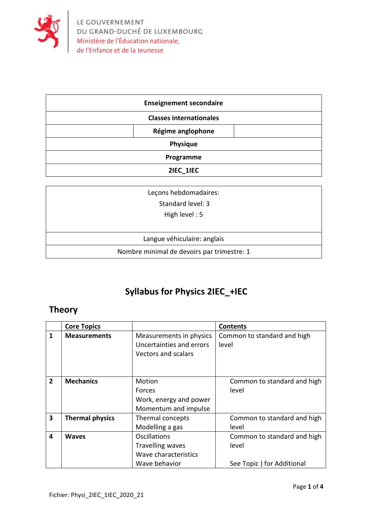

| <b>Enseignement secondaire</b> |                   |  |
|--------------------------------|-------------------|--|
| <b>Classes internationales</b> |                   |  |
|                                | Régime anglophone |  |
| <b>Physique</b>                |                   |  |
| Programme                      |                   |  |
| 2IEC 1IEC                      |                   |  |

| Leçons hebdomadaires:                      |  |  |
|--------------------------------------------|--|--|
| Standard level: 3                          |  |  |
| High level: $5$                            |  |  |
|                                            |  |  |
| Langue véhiculaire: anglais                |  |  |
| Nombre minimal de devoirs par trimestre: 1 |  |  |

## **Syllabus for Physics 2IEC\_+IEC**

## **Theory**

|                         | <b>Core Topics</b>     |                                                                                         | <b>Contents</b>                                                   |
|-------------------------|------------------------|-----------------------------------------------------------------------------------------|-------------------------------------------------------------------|
| 1                       | <b>Measurements</b>    | Measurements in physics<br>Uncertainties and errors<br>Vectors and scalars              | Common to standard and high<br>level                              |
| $\overline{2}$          | <b>Mechanics</b>       | Motion<br>Forces<br>Work, energy and power<br>Momentum and impulse                      | Common to standard and high<br>level                              |
| $\overline{\mathbf{3}}$ | <b>Thermal physics</b> | Thermal concepts<br>Modelling a gas                                                     | Common to standard and high<br>level                              |
| 4                       | <b>Waves</b>           | <b>Oscillations</b><br><b>Travelling waves</b><br>Wave characteristics<br>Wave behavior | Common to standard and high<br>level<br>See Topic) for Additional |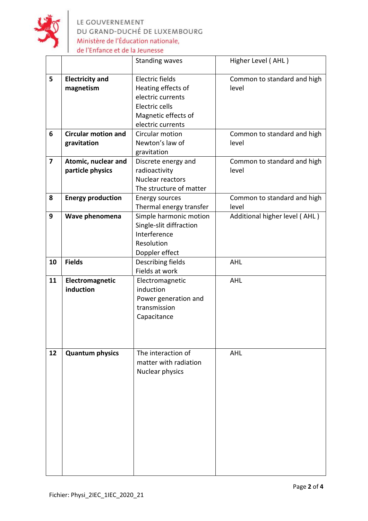

LE GOUVERNEMENT<br>DU GRAND-DUCHÉ DE LUXEMBOURG<br>Ministère de l'Éducation nationale, de l'Enfance et de la Jeunesse

|                |                            | <b>Standing waves</b>                   | Higher Level (AHL)            |
|----------------|----------------------------|-----------------------------------------|-------------------------------|
| 5              | <b>Electricity and</b>     | Electric fields                         | Common to standard and high   |
|                | magnetism                  | Heating effects of                      | level                         |
|                |                            | electric currents                       |                               |
|                |                            | Electric cells                          |                               |
|                |                            | Magnetic effects of                     |                               |
|                |                            | electric currents                       |                               |
| 6              | <b>Circular motion and</b> | Circular motion                         | Common to standard and high   |
|                | gravitation                | Newton's law of                         | level                         |
|                |                            | gravitation                             |                               |
| $\overline{7}$ | Atomic, nuclear and        | Discrete energy and                     | Common to standard and high   |
|                | particle physics           | radioactivity                           | level                         |
|                |                            | Nuclear reactors                        |                               |
|                |                            | The structure of matter                 |                               |
| 8              | <b>Energy production</b>   | <b>Energy sources</b>                   | Common to standard and high   |
|                |                            | Thermal energy transfer                 | level                         |
| 9              | Wave phenomena             | Simple harmonic motion                  | Additional higher level (AHL) |
|                |                            | Single-slit diffraction<br>Interference |                               |
|                |                            | Resolution                              |                               |
|                |                            | Doppler effect                          |                               |
| 10             | <b>Fields</b>              | Describing fields                       | <b>AHL</b>                    |
|                |                            | Fields at work                          |                               |
| 11             | Electromagnetic            | Electromagnetic                         | <b>AHL</b>                    |
|                | induction                  | induction                               |                               |
|                |                            | Power generation and                    |                               |
|                |                            | transmission                            |                               |
|                |                            | Capacitance                             |                               |
|                |                            |                                         |                               |
|                |                            |                                         |                               |
|                |                            |                                         |                               |
| 12             | <b>Quantum physics</b>     | The interaction of                      | <b>AHL</b>                    |
|                |                            | matter with radiation                   |                               |
|                |                            | Nuclear physics                         |                               |
|                |                            |                                         |                               |
|                |                            |                                         |                               |
|                |                            |                                         |                               |
|                |                            |                                         |                               |
|                |                            |                                         |                               |
|                |                            |                                         |                               |
|                |                            |                                         |                               |
|                |                            |                                         |                               |
|                |                            |                                         |                               |
|                |                            |                                         |                               |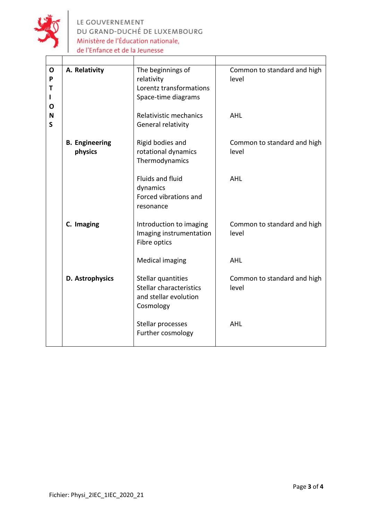

LE GOUVERNEMENT<br>DU GRAND-DUCHÉ DE LUXEMBOURG Ministère de l'Éducation nationale, de l'Enfance et de la Jeunesse

| $\mathbf{o}$<br>P<br>T<br>$\mathbf{I}$<br>O | A. Relativity                    | The beginnings of<br>relativity<br>Lorentz transformations<br>Space-time diagrams   | Common to standard and high<br>level |
|---------------------------------------------|----------------------------------|-------------------------------------------------------------------------------------|--------------------------------------|
| N<br>$\mathsf{S}$                           |                                  | Relativistic mechanics<br>General relativity                                        | <b>AHL</b>                           |
|                                             | <b>B.</b> Engineering<br>physics | Rigid bodies and<br>rotational dynamics<br>Thermodynamics                           | Common to standard and high<br>level |
|                                             |                                  | Fluids and fluid<br>dynamics<br>Forced vibrations and<br>resonance                  | <b>AHL</b>                           |
|                                             | C. Imaging                       | Introduction to imaging<br>Imaging instrumentation<br>Fibre optics                  | Common to standard and high<br>level |
|                                             |                                  | <b>Medical imaging</b>                                                              | <b>AHL</b>                           |
|                                             | D. Astrophysics                  | Stellar quantities<br>Stellar characteristics<br>and stellar evolution<br>Cosmology | Common to standard and high<br>level |
|                                             |                                  | Stellar processes<br>Further cosmology                                              | <b>AHL</b>                           |